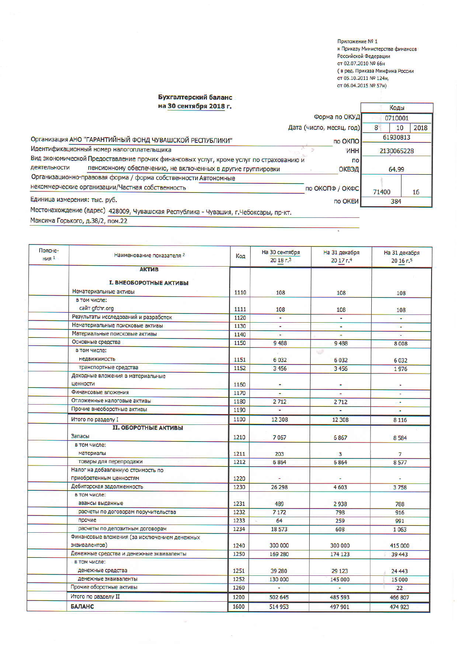Приложение № 1 к Приказу Министерства финансов Российской Федерации от 02.07.2010 № 66н ( в ред. Приказа Минфина России от 05.10.2011 № 124н, от 06.04.2015 № 57н)

٦

Коды

## Бухгалтерский баланс

на 30 сентября 2018 г.

| Форма по ОКУД                                                                                                                                                                                                                                                             | 0710001     |      |  |
|---------------------------------------------------------------------------------------------------------------------------------------------------------------------------------------------------------------------------------------------------------------------------|-------------|------|--|
| Дата (число, месяц, год)                                                                                                                                                                                                                                                  | 10<br>8     | 2018 |  |
| Организация АНО "ГАРАНТИЙНЫЙ ФОНД ЧУВАШСКОЙ РЕСПУБЛИКИ"<br>по ОКПО                                                                                                                                                                                                        | 61930813    |      |  |
| Идентификационный номер налогоплательщика<br><b>VHH</b>                                                                                                                                                                                                                   | 2130065228  |      |  |
| Вид экономической Предоставление прочих финансовых услуг, кроме услуг по страхованию и<br><b>no</b>                                                                                                                                                                       |             |      |  |
| деятельности<br>пенсионному обеспечению, не включенных в другие группировки<br><b>ОКВЭД</b>                                                                                                                                                                               | 64.99       |      |  |
| Организационно-правовая форма / форма собственности Автономные                                                                                                                                                                                                            |             |      |  |
| некоммерческие организации/Частная собственность<br>по ОКОПФ / ОКФС                                                                                                                                                                                                       | 71400<br>16 |      |  |
| Единица измерения: тыс. руб.<br>по ОКЕИ<br>The construction operations in the construction of the construction of the construction of the construction of the construction of the construction of the construction of the construction of the construction of the constru | 384         |      |  |

Местонахождение (адрес) 428009, Чувашская Республика - Чувашия, г.Чебоксары, пр-кт.

Максима Горького, д.38/2, пом.22

| Поясне-<br>$H$ ия 1 | Наименование показателя 2                    | Код  | На 30 сентября<br>2018 <sub>5</sub> | На 31 декабря<br>20 17 г.4 | На 31 декабря<br>20 16 г.5 |
|---------------------|----------------------------------------------|------|-------------------------------------|----------------------------|----------------------------|
|                     | <b>АКТИВ</b>                                 |      |                                     |                            |                            |
|                     |                                              |      |                                     |                            |                            |
|                     | <b>I. ВНЕОБОРОТНЫЕ АКТИВЫ</b>                |      |                                     |                            |                            |
|                     | Нематериальные активы                        | 1110 | 108                                 | 108                        | 108                        |
|                     | в том числе:                                 |      |                                     |                            |                            |
|                     | сайт gfchr.org                               | 1111 | 108                                 | 108                        | 108                        |
|                     | Результаты исследований и разработок         | 1120 | ٠                                   |                            | ¥                          |
|                     | Нематериальные поисковые активы              | 1130 | ٠                                   | ig.                        | ÷                          |
|                     | Материальные поисковые активы                | 1140 | ÷                                   |                            |                            |
|                     | Основные средства                            | 1150 | 9488                                | 9488                       | 8008                       |
|                     | в том числе:                                 |      |                                     | w                          |                            |
|                     | недвижимость                                 | 1151 | 6032                                | 6032                       | 6032                       |
|                     | транспортные средства                        | 1152 | 3456                                | 3456                       | 1976                       |
|                     | Доходные вложения в материальные             |      |                                     |                            |                            |
|                     | ценности                                     | 1160 | ÷                                   |                            |                            |
|                     | Финансовые вложения                          | 1170 | ÷                                   | ٠                          | Ξ                          |
|                     | Отложенные налоговые активы                  | 1180 | 2712                                | 2712                       | ×                          |
|                     | Прочие внеоборотные активы                   | 1190 |                                     |                            | ÷                          |
|                     | Итого по разделу I                           | 1100 | 12 308                              | 12 308                     | 8 1 1 6                    |
|                     | <b>II. ОБОРОТНЫЕ АКТИВЫ</b>                  |      |                                     |                            |                            |
|                     | Запасы                                       | 1210 | 7067                                | 6867                       | 8584                       |
|                     | в том числе:                                 |      |                                     |                            |                            |
|                     | материалы                                    | 1211 | 203                                 | 3                          | $\overline{7}$             |
|                     | товары для перепродажи                       | 1212 | 6864                                | 6864                       | 8577                       |
|                     | Налог на добавленную стоимость по            |      |                                     |                            |                            |
|                     | приобретенным ценностям                      | 1220 |                                     |                            |                            |
|                     | Дебиторская задолженность                    | 1230 | 26 298                              | 4603                       | 3758                       |
|                     | в том числе:                                 |      |                                     |                            |                            |
|                     | авансы выданные                              | 1231 | 489                                 | 2938                       | 788                        |
|                     | расчеты по договорам поручительства          | 1232 | 7 1 7 2                             | 798                        | 916                        |
|                     | прочие                                       | 1233 | 64                                  | 259                        | 991                        |
|                     | расчеты по депозитным договорам              | 1234 | 18573                               | 608                        | 1063                       |
|                     | Финансовые вложения (за исключением денежных |      |                                     |                            |                            |
|                     | эквивалентов)                                | 1240 | 300 000                             | 300 000                    | 415 000                    |
|                     | Денежные средства и денежные эквиваленты     | 1250 | 169 280                             | 174 123                    | 39 443                     |
|                     | в том числе:                                 |      |                                     |                            |                            |
|                     | денежные средства                            | 1251 | 39 280                              | 29 1 23                    | 24 4 4 3                   |
|                     | денежные эквиваленты                         | 1252 | 130 000                             | 145 000                    | 15 000                     |
|                     | Прочие оборотные активы                      | 1260 | ÷                                   | ٠                          | 22                         |
|                     | Итого по разделу II                          | 1200 | 502 645                             | 485 593                    | 466 807                    |
|                     | <b>БАЛАНС</b>                                | 1600 | 514 953                             | 497 901                    | 474 923                    |